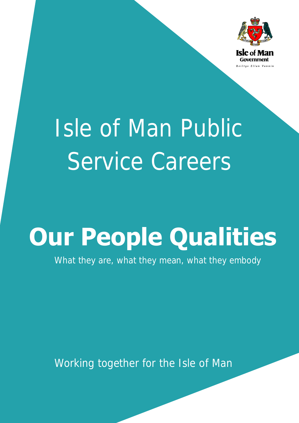

# Isle of Man Public Service Careers

## **Our People Qualities**

What they are, what they mean, what they embody

Working together for the Isle of Man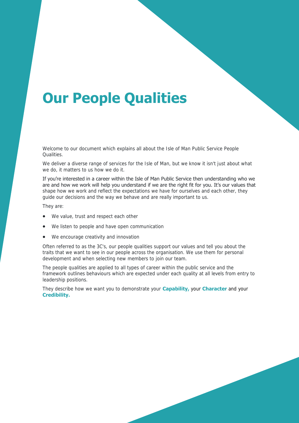### **Our People Qualities**

Welcome to our document which explains all about the Isle of Man Public Service People Qualities.

We deliver a diverse range of services for the Isle of Man, but we know it isn't just about what we do, it matters to us how we do it.

If you're interested in a career within the Isle of Man Public Service then understanding who we are and how we work will help you understand if we are the right fit for you. It's our values that shape how we work and reflect the expectations we have for ourselves and each other, they guide our decisions and the way we behave and are really important to us.

They are:

- We value, trust and respect each other
- We listen to people and have open communication
- We encourage creativity and innovation

Often referred to as the 3C's, our people qualities support our values and tell you about the traits that we want to see in our people across the organisation. We use them for personal development and when selecting new members to join our team.

The people qualities are applied to all types of career within the public service and the framework outlines behaviours which are expected under each quality at all levels from entry to leadership positions.

They describe how we want you to demonstrate your **Capability,** your **Character** and your **Credibility.**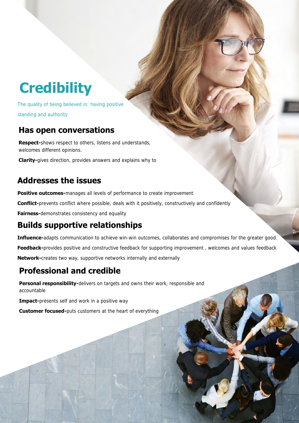### **Credibility**

The quality of being believed in: having positive standing and authority

#### **Has open conversations**

**Respect-**shows respect to others, listens and understands, welcomes different opinions.

**Clarity-**gives direction, provides answers and explains why to

### **Addresses the issues**

**Positive outcomes-**manages all levels of performance to create improvement

**Conflict-**prevents conflict where possible, deals with it positively, constructively and confidently

**Fairness-**demonstrates consistency and equality

### **Builds supportive relationships**

**Influence-**adapts communication to achieve win-win outcomes, collaborates and compromises for the greater good. **Feedback-**provides positive and constructive feedback for supporting improvement , welcomes and values feedback **Network-**creates two way, supportive networks internally and externally

### **Professional and credible**

**Personal responsibility-**delivers on targets and owns their work, responsible and accountable

**Impact-**presents self and work in a positive way

**Customer focused-**puts customers at the heart of everything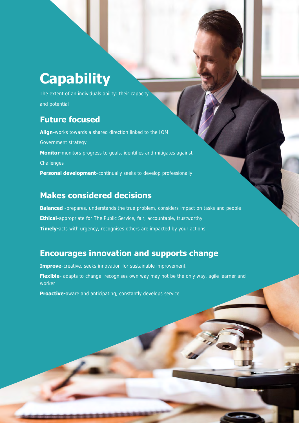### **Capability**

The extent of an individuals ability: their capacity and potential

#### **Future focused**

**Align-**works towards a shared direction linked to the IOM Government strategy **Monitor-**monitors progress to goals, identifies and mitigates against **Challenges Personal development-**continually seeks to develop professionally

#### **Makes considered decisions**

**Balanced -**prepares, understands the true problem, considers impact on tasks and people **Ethical-**appropriate for The Public Service, fair, accountable, trustworthy **Timely-**acts with urgency, recognises others are impacted by your actions

#### **Encourages innovation and supports change**

**Improve-**creative, seeks innovation for sustainable improvement Flexible- adapts to change, recognises own way may not be the only way, agile learner and worker

**Proactive-**aware and anticipating, constantly develops service